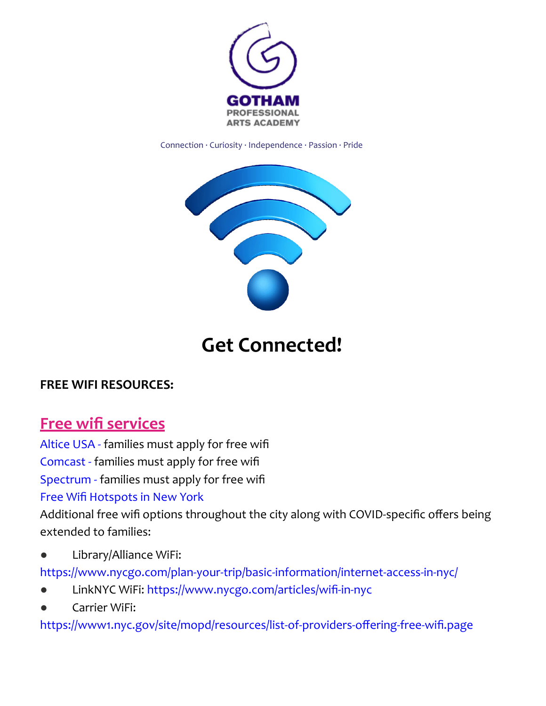

Connection · Curiosity · Independence · Passion · Pride



# **Get Connected!**

### **FREE WIFI RESOURCES:**

# **Free wifi [services](https://www1.nyc.gov/site/mopd/resources/list-of-providers-offering-free-wifi.page)**

Altice USA - [families](https://www.alticeusa.com/news/articles/feature/corporate/altice-usa-brings-free-broadband-k-12-and-college-students-during-coronavirus-pandemic) must apply for free wifi [Comcast](https://www.internetessentials.com/covid19) - families must apply for free wifi [Spectrum](https://cnycentral.com/news/local/spectrum-to-offer-free-internet-access-for-students-due-to-coronavirus) - families must apply for free wifi Free Wifi [Hotspots](http://www.mustseenewyork.com/maps/new-york-city-free-wifi-map.html) in New York

Additional free wifi options throughout the city along with COVID-specific offers being extended to families:

Library/Alliance WiFi:

[https://www.nycgo.com/plan-your-trip/basic-information/internet-access-in-nyc/](https://nam01.safelinks.protection.outlook.com/?url=https%3A%2F%2Fwww.nycgo.com%2Fplan-your-trip%2Fbasic-information%2Finternet-access-in-nyc%2F&data=02%7C01%7CLYi%40schools.nyc.gov%7Cacb2c6acf42046c9f5bd08d86b002b5d%7C18492cb7ef45456185710c42e5f7ac07%7C0%7C0%7C637376995905655348&sdata=egjHUjzsdFDEr8nZW9WQxlZp%2BcOh9g0Gl8BlN%2FrEEOQ%3D&reserved=0)

- LinkNYC WiFi: [https://www.nycgo.com/articles/wifi-in-nyc](https://nam01.safelinks.protection.outlook.com/?url=https%3A%2F%2Fwww.nycgo.com%2Farticles%2Fwifi-in-nyc&data=02%7C01%7CLYi%40schools.nyc.gov%7Cacb2c6acf42046c9f5bd08d86b002b5d%7C18492cb7ef45456185710c42e5f7ac07%7C0%7C0%7C637376995905655348&sdata=BvSSj2BiyFx5AYbyyKADAXN4uh5O7nY2kJ2nNAMiIOI%3D&reserved=0)
- Carrier WiFi:

<https://www1.nyc.gov/site/mopd/resources/list-of-providers-offering-free-wifi.page>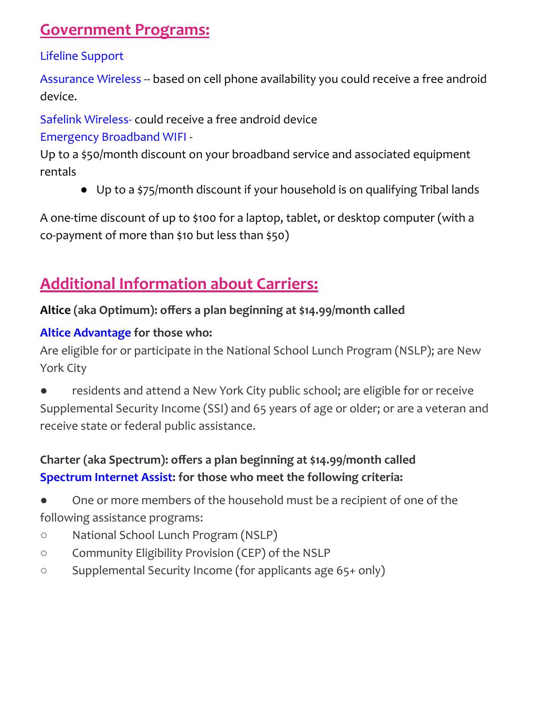# **Government Programs:**

#### Lifeline [Support](https://www.lifelinesupport.org/do-i-qualify/)

[Assurance](https://www.assurancewireless.com/) Wireless -- based on cell phone availability you could receive a free android device.

Safelink [Wireless-](https://www.safelinkwireless.com/Enrollment/Safelink/en/Web/www/default/index.html#!/newHome) could receive a free android device

#### [Emergency](https://getemergencybroadband.org/companies-near-me/) Broadband WIFI -

Up to a \$50/month discount on your broadband service and associated equipment rentals

● Up to a \$75/month discount if your household is on qualifying Tribal lands

A one-time discount of up to \$100 for a laptop, tablet, or desktop computer (with a co-payment of more than \$10 but less than \$50)

# **Additional Information about Carriers:**

### **Altice (aka Optimum): offers a plan beginning at \$14.99/month calle[d](https://nam01.safelinks.protection.outlook.com/?url=https%3A%2F%2Fwww.alticeadvantageinternet.com%2F&data=02%7C01%7CLYi%40schools.nyc.gov%7Cacb2c6acf42046c9f5bd08d86b002b5d%7C18492cb7ef45456185710c42e5f7ac07%7C0%7C0%7C637376995905665306&sdata=GVMq3xpyEJTinAmLZLUkagt4JNz0na%2BNfJQrYBeMdu8%3D&reserved=0)**

### **Altice [Advantage](https://nam01.safelinks.protection.outlook.com/?url=https%3A%2F%2Fwww.alticeadvantageinternet.com%2F&data=02%7C01%7CLYi%40schools.nyc.gov%7Cacb2c6acf42046c9f5bd08d86b002b5d%7C18492cb7ef45456185710c42e5f7ac07%7C0%7C0%7C637376995905665306&sdata=GVMq3xpyEJTinAmLZLUkagt4JNz0na%2BNfJQrYBeMdu8%3D&reserved=0) for those who:**

Are eligible for or participate in the National School Lunch Program (NSLP); are New York City

residents and attend a New York City public school; are eligible for or receive Supplemental Security Income (SSI) and 65 years of age or older; or are a veteran and receive state or federal public assistance.

# **Charter (aka Spectrum): offers a plan beginning at \$14.99/month calle[d](https://nam01.safelinks.protection.outlook.com/?url=https%3A%2F%2Fwww.spectrum.com%2Fbrowse%2Fcontent%2Fspectrum-internet-assist&data=02%7C01%7CLYi%40schools.nyc.gov%7Cacb2c6acf42046c9f5bd08d86b002b5d%7C18492cb7ef45456185710c42e5f7ac07%7C0%7C0%7C637376995905665306&sdata=oQVIh2mRBMmBg44VSnpZqYsbDOC45IAB4bORTQ9h2to%3D&reserved=0) [Spectrum](https://nam01.safelinks.protection.outlook.com/?url=https%3A%2F%2Fwww.spectrum.com%2Fbrowse%2Fcontent%2Fspectrum-internet-assist&data=02%7C01%7CLYi%40schools.nyc.gov%7Cacb2c6acf42046c9f5bd08d86b002b5d%7C18492cb7ef45456185710c42e5f7ac07%7C0%7C0%7C637376995905665306&sdata=oQVIh2mRBMmBg44VSnpZqYsbDOC45IAB4bORTQ9h2to%3D&reserved=0) Internet Assist: for those who meet the following criteria:**

- One or more members of the household must be a recipient of one of the following assistance programs:
- National School Lunch Program (NSLP)
- Community Eligibility Provision (CEP) of the NSLP
- Supplemental Security Income (for applicants age 65+ only)